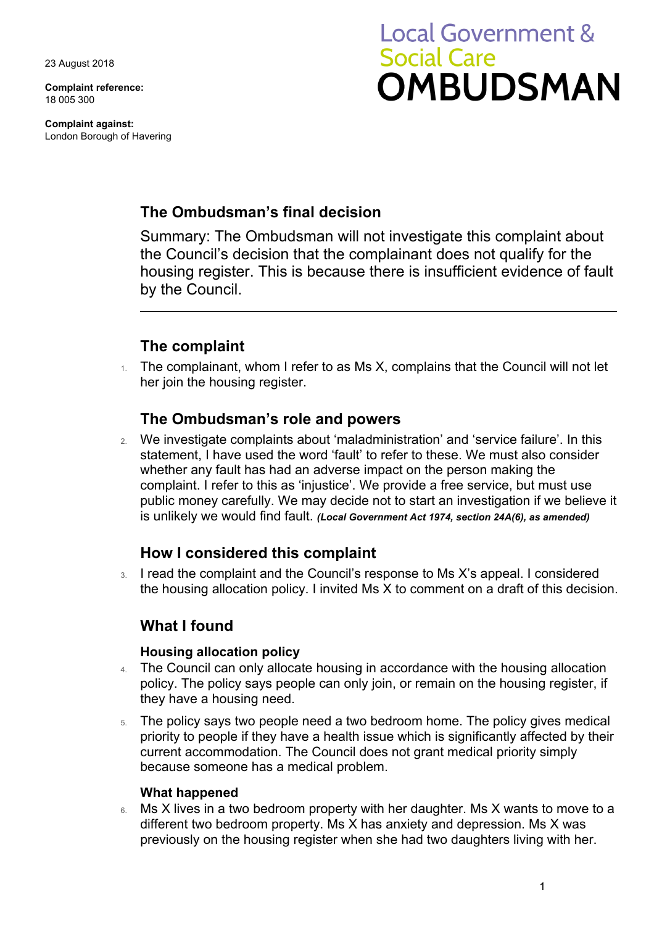23 August 2018

**Complaint reference:**  18 005 300

**Complaint against:**  London Borough of Havering

# **Local Government & Social Care OMBUDSMAN**

# **The Ombudsman's final decision**

Summary: The Ombudsman will not investigate this complaint about the Council's decision that the complainant does not qualify for the housing register. This is because there is insufficient evidence of fault by the Council.

# **The complaint**

 $1.$  The complainant, whom I refer to as Ms X, complains that the Council will not let her join the housing register.

## **The Ombudsman's role and powers**

 public money carefully. We may decide not to start an investigation if we believe it 2. We investigate complaints about 'maladministration' and 'service failure'. In this statement, I have used the word 'fault' to refer to these. We must also consider whether any fault has had an adverse impact on the person making the complaint. I refer to this as 'injustice'. We provide a free service, but must use is unlikely we would find fault. *(Local Government Act 1974, section 24A(6), as amended)* 

# **How I considered this complaint**

3. I read the complaint and the Council's response to Ms X's appeal. I considered the housing allocation policy. I invited Ms X to comment on a draft of this decision.

## **What I found**

### **Housing allocation policy**

- 4. The Council can only allocate housing in accordance with the housing allocation policy. The policy says people can only join, or remain on the housing register, if they have a housing need.
- 5. The policy says two people need a two bedroom home. The policy gives medical because someone has a medical problem. priority to people if they have a health issue which is significantly affected by their current accommodation. The Council does not grant medical priority simply

### **What happened**

6. Ms X lives in a two bedroom property with her daughter. Ms X wants to move to a different two bedroom property. Ms X has anxiety and depression. Ms X was previously on the housing register when she had two daughters living with her.